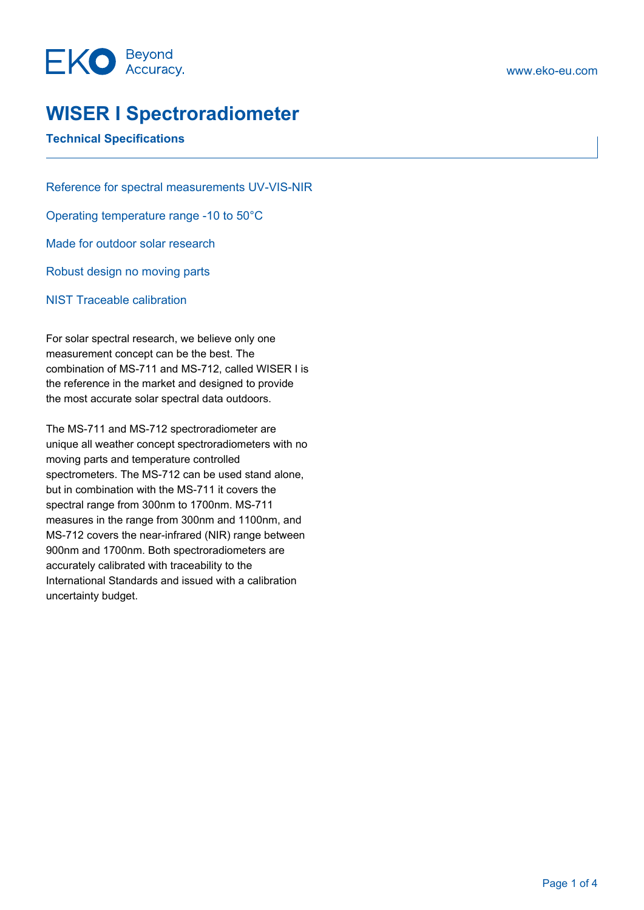### **WISER I Spectroradiometer**

### **Technical Specifications**

Reference for spectral measurements UV-VIS-NIR Operating temperature range -10 to 50°C Made for outdoor solar research Robust design no moving parts NIST Traceable calibration

For solar spectral research, we believe only one measurement concept can be the best. The combination of MS-711 and MS-712, called WISER I is the reference in the market and designed to provide the most accurate solar spectral data outdoors.

The MS-711 and MS-712 spectroradiometer are unique all weather concept spectroradiometers with no moving parts and temperature controlled spectrometers. The MS-712 can be used stand alone, but in combination with the MS-711 it covers the spectral range from 300nm to 1700nm. MS-711 measures in the range from 300nm and 1100nm, and MS-712 covers the near-infrared (NIR) range between 900nm and 1700nm. Both spectroradiometers are accurately calibrated with traceability to the International Standards and issued with a calibration uncertainty budget.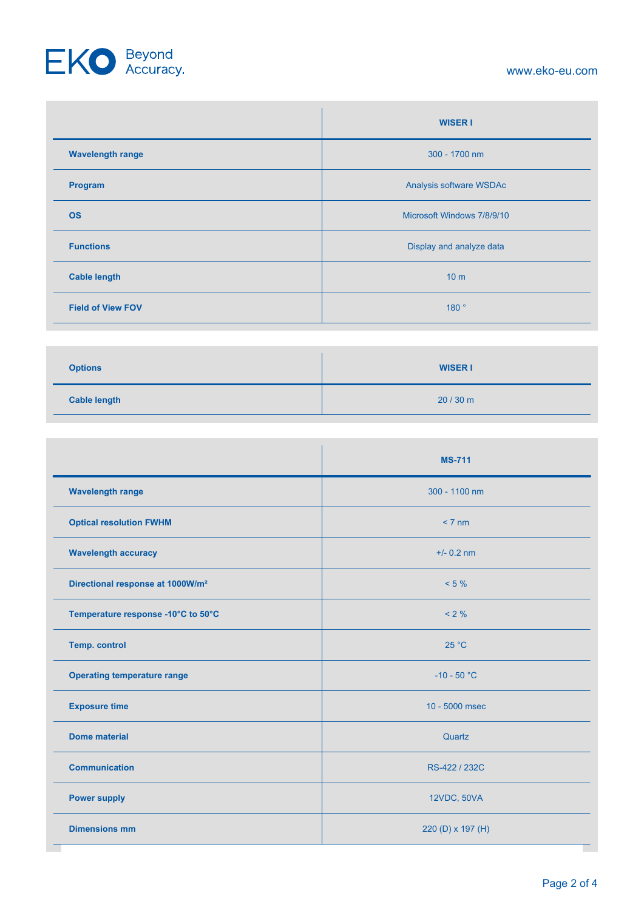# EKO Beyond

#### www.eko-eu.com

|                          | <b>WISER I</b>             |
|--------------------------|----------------------------|
| <b>Wavelength range</b>  | 300 - 1700 nm              |
| Program                  | Analysis software WSDAc    |
| <b>OS</b>                | Microsoft Windows 7/8/9/10 |
| <b>Functions</b>         | Display and analyze data   |
| <b>Cable length</b>      | 10 <sub>m</sub>            |
| <b>Field of View FOV</b> | 180°                       |

| <b>Options</b>      | <b>WISER I</b> |
|---------------------|----------------|
| <b>Cable length</b> | 20/30 m        |

|                                              | <b>MS-711</b>     |
|----------------------------------------------|-------------------|
| <b>Wavelength range</b>                      | 300 - 1100 nm     |
| <b>Optical resolution FWHM</b>               | $< 7 \text{ nm}$  |
| <b>Wavelength accuracy</b>                   | $+/- 0.2$ nm      |
| Directional response at 1000W/m <sup>2</sup> | $< 5 \%$          |
| Temperature response -10°C to 50°C           | $< 2 \%$          |
| <b>Temp. control</b>                         | 25 °C             |
| <b>Operating temperature range</b>           | $-10 - 50 °C$     |
| <b>Exposure time</b>                         | 10 - 5000 msec    |
| <b>Dome material</b>                         | Quartz            |
| <b>Communication</b>                         | RS-422 / 232C     |
| <b>Power supply</b>                          | 12VDC, 50VA       |
| <b>Dimensions mm</b>                         | 220 (D) x 197 (H) |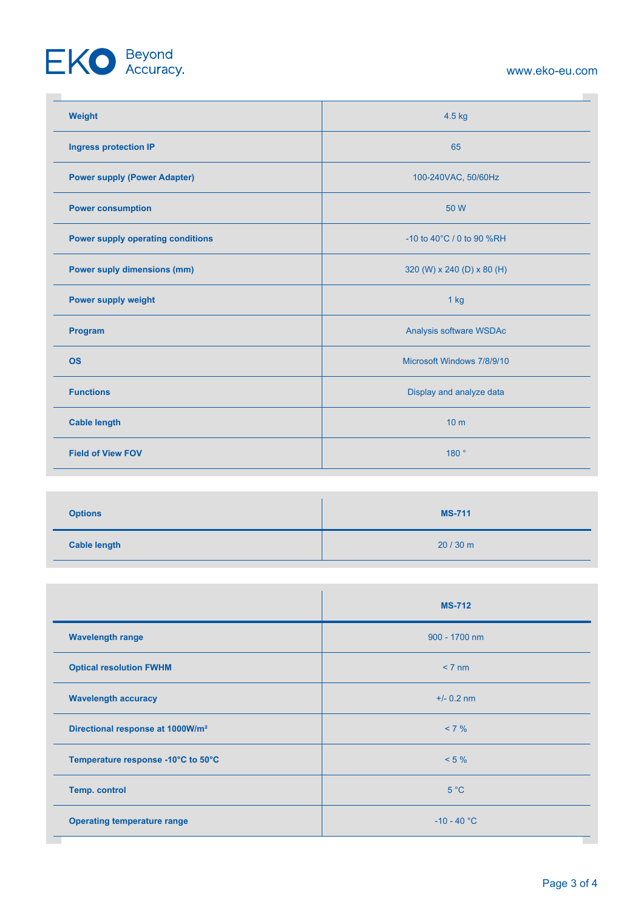# EKO Beyond

#### www.eko-eu.com

**COL** 

| Weight                                   | 4.5 kg                     |
|------------------------------------------|----------------------------|
| <b>Ingress protection IP</b>             | 65                         |
| <b>Power supply (Power Adapter)</b>      | 100-240VAC, 50/60Hz        |
| <b>Power consumption</b>                 | 50 W                       |
| <b>Power supply operating conditions</b> | -10 to 40°C / 0 to 90 %RH  |
| <b>Power suply dimensions (mm)</b>       | 320 (W) x 240 (D) x 80 (H) |
| Power supply weight                      | $1$ kg                     |
| Program                                  | Analysis software WSDAc    |
| <b>OS</b>                                | Microsoft Windows 7/8/9/10 |
| <b>Functions</b>                         | Display and analyze data   |
| <b>Cable length</b>                      | 10 <sub>m</sub>            |
| <b>Field of View FOV</b>                 | 180°                       |

| <b>Options</b>      | <b>MS-711</b> |
|---------------------|---------------|
| <b>Cable length</b> | 20/30 m       |

|                                              | <b>MS-712</b>    |
|----------------------------------------------|------------------|
| <b>Wavelength range</b>                      | 900 - 1700 nm    |
| <b>Optical resolution FWHM</b>               | $< 7 \text{ nm}$ |
| <b>Wavelength accuracy</b>                   | $+/- 0.2$ nm     |
| Directional response at 1000W/m <sup>2</sup> | $< 7 \%$         |
| Temperature response -10°C to 50°C           | $< 5 \%$         |
| <b>Temp. control</b>                         | 5 °C             |
| <b>Operating temperature range</b>           | $-10 - 40 °C$    |